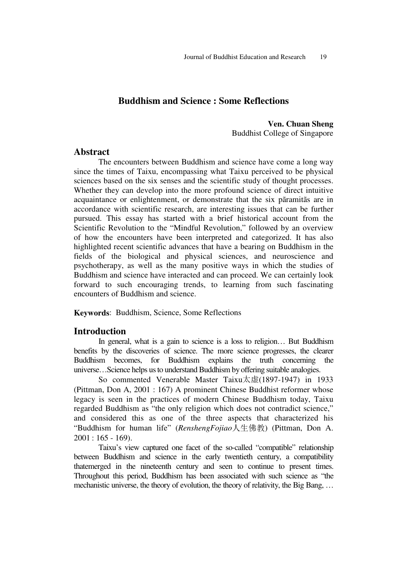# **Buddhism and Science : Some Reflections**

**Ven. Chuan Sheng**  Buddhist College of Singapore

### **Abstract**

The encounters between Buddhism and science have come a long way since the times of Taixu, encompassing what Taixu perceived to be physical sciences based on the six senses and the scientific study of thought processes. Whether they can develop into the more profound science of direct intuitive acquaintance or enlightenment, or demonstrate that the six pãramitãs are in accordance with scientific research, are interesting issues that can be further pursued. This essay has started with a brief historical account from the Scientific Revolution to the "Mindful Revolution," followed by an overview of how the encounters have been interpreted and categorized. It has also highlighted recent scientific advances that have a bearing on Buddhism in the fields of the biological and physical sciences, and neuroscience and psychotherapy, as well as the many positive ways in which the studies of Buddhism and science have interacted and can proceed. We can certainly look forward to such encouraging trends, to learning from such fascinating encounters of Buddhism and science.

**Keywords**: Buddhism, Science, Some Reflections

### **Introduction**

In general, what is a gain to science is a loss to religion… But Buddhism benefits by the discoveries of science. The more science progresses, the clearer Buddhism becomes, for Buddhism explains the truth concerning the universe…Science helps us to understand Buddhism by offering suitable analogies.

So commented Venerable Master Taixu太虚(1897-1947) in 1933 (Pittman, Don A, 2001 : 167) A prominent Chinese Buddhist reformer whose legacy is seen in the practices of modern Chinese Buddhism today, Taixu regarded Buddhism as "the only religion which does not contradict science," and considered this as one of the three aspects that characterized his "Buddhism for human life" (*RenshengFojiao*人生佛教) (Pittman, Don A.  $2001 : 165 - 169$ .

Taixu's view captured one facet of the so-called "compatible" relationship between Buddhism and science in the early twentieth century, a compatibility thatemerged in the nineteenth century and seen to continue to present times. Throughout this period, Buddhism has been associated with such science as "the mechanistic universe, the theory of evolution, the theory of relativity, the Big Bang, …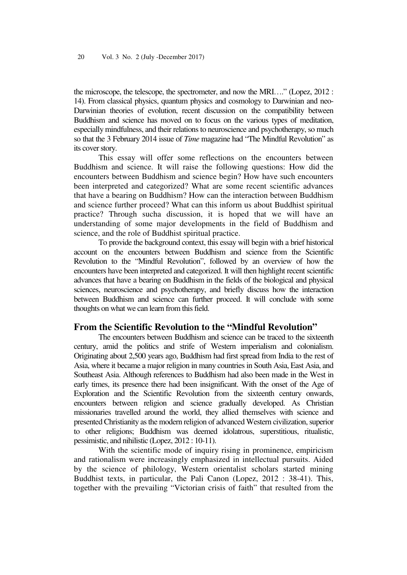the microscope, the telescope, the spectrometer, and now the MRI…." (Lopez, 2012 : 14). From classical physics, quantum physics and cosmology to Darwinian and neo-Darwinian theories of evolution, recent discussion on the compatibility between Buddhism and science has moved on to focus on the various types of meditation, especially mindfulness, and their relations to neuroscience and psychotherapy, so much so that the 3 February 2014 issue of *Time* magazine had "The Mindful Revolution" as its cover story.

This essay will offer some reflections on the encounters between Buddhism and science. It will raise the following questions: How did the encounters between Buddhism and science begin? How have such encounters been interpreted and categorized? What are some recent scientific advances that have a bearing on Buddhism? How can the interaction between Buddhism and science further proceed? What can this inform us about Buddhist spiritual practice? Through sucha discussion, it is hoped that we will have an understanding of some major developments in the field of Buddhism and science, and the role of Buddhist spiritual practice.

To provide the background context, this essay will begin with a brief historical account on the encounters between Buddhism and science from the Scientific Revolution to the "Mindful Revolution", followed by an overview of how the encounters have been interpreted and categorized. It will then highlight recent scientific advances that have a bearing on Buddhism in the fields of the biological and physical sciences, neuroscience and psychotherapy, and briefly discuss how the interaction between Buddhism and science can further proceed. It will conclude with some thoughts on what we can learn from this field.

## **From the Scientific Revolution to the "Mindful Revolution"**

The encounters between Buddhism and science can be traced to the sixteenth century, amid the politics and strife of Western imperialism and colonialism. Originating about 2,500 years ago, Buddhism had first spread from India to the rest of Asia, where it became a major religion in many countries in South Asia, East Asia, and Southeast Asia. Although references to Buddhism had also been made in the West in early times, its presence there had been insignificant. With the onset of the Age of Exploration and the Scientific Revolution from the sixteenth century onwards, encounters between religion and science gradually developed. As Christian missionaries travelled around the world, they allied themselves with science and presented Christianity as the modern religion of advanced Western civilization, superior to other religions; Buddhism was deemed idolatrous, superstitious, ritualistic, pessimistic, and nihilistic (Lopez, 2012 : 10-11).

With the scientific mode of inquiry rising in prominence, empiricism and rationalism were increasingly emphasized in intellectual pursuits. Aided by the science of philology, Western orientalist scholars started mining Buddhist texts, in particular, the Pali Canon (Lopez, 2012 : 38-41). This, together with the prevailing "Victorian crisis of faith" that resulted from the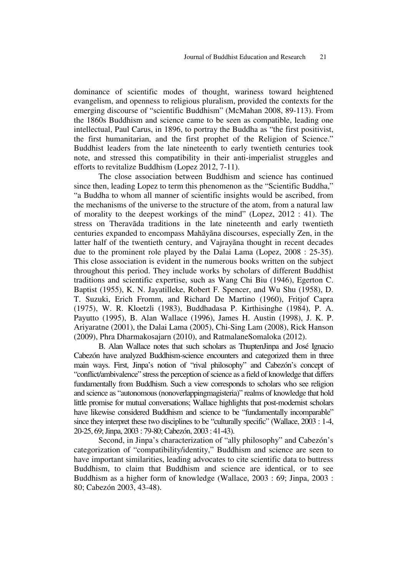dominance of scientific modes of thought, wariness toward heightened evangelism, and openness to religious pluralism, provided the contexts for the emerging discourse of "scientific Buddhism" (McMahan 2008, 89-113). From the 1860s Buddhism and science came to be seen as compatible, leading one intellectual, Paul Carus, in 1896, to portray the Buddha as "the first positivist, the first humanitarian, and the first prophet of the Religion of Science." Buddhist leaders from the late nineteenth to early twentieth centuries took note, and stressed this compatibility in their anti-imperialist struggles and efforts to revitalize Buddhism (Lopez 2012, 7-11).

The close association between Buddhism and science has continued since then, leading Lopez to term this phenomenon as the "Scientific Buddha," "a Buddha to whom all manner of scientific insights would be ascribed, from the mechanisms of the universe to the structure of the atom, from a natural law of morality to the deepest workings of the mind" (Lopez, 2012 : 41). The stress on Theravãda traditions in the late nineteenth and early twentieth centuries expanded to encompass Mahãyãna discourses, especially Zen, in the latter half of the twentieth century, and Vajrayãna thought in recent decades due to the prominent role played by the Dalai Lama (Lopez, 2008 : 25-35). This close association is evident in the numerous books written on the subject throughout this period. They include works by scholars of different Buddhist traditions and scientific expertise, such as Wang Chi Biu (1946), Egerton C. Baptist (1955), K. N. Jayatilleke, Robert F. Spencer, and Wu Shu (1958), D. T. Suzuki, Erich Fromm, and Richard De Martino (1960), Fritjof Capra (1975), W. R. Kloetzli (1983), Buddhadasa P. Kirthisinghe (1984), P. A. Payutto (1995), B. Alan Wallace (1996), James H. Austin (1998), J. K. P. Ariyaratne (2001), the Dalai Lama (2005), Chi-Sing Lam (2008), Rick Hanson (2009), Phra Dharmakosajarn (2010), and RatmalaneSomaloka (2012).

B. Alan Wallace notes that such scholars as ThuptenJinpa and José Ignacio Cabezón have analyzed Buddhism-science encounters and categorized them in three main ways. First, Jinpa's notion of "rival philosophy" and Cabezón's concept of "conflict/ambivalence" stress the perception of science as a field of knowledge that differs fundamentally from Buddhism. Such a view corresponds to scholars who see religion and science as "autonomous (nonoverlappingmagisteria)" realms of knowledge that hold little promise for mutual conversations; Wallace highlights that post-modernist scholars have likewise considered Buddhism and science to be "fundamentally incomparable" since they interpret these two disciplines to be "culturally specific" (Wallace, 2003 : 1-4, 20-25, 69; Jinpa, 2003 : 79-80; Cabezón, 2003 : 41-43).

Second, in Jinpa's characterization of "ally philosophy" and Cabezón's categorization of "compatibility/identity," Buddhism and science are seen to have important similarities, leading advocates to cite scientific data to buttress Buddhism, to claim that Buddhism and science are identical, or to see Buddhism as a higher form of knowledge (Wallace, 2003 : 69; Jinpa, 2003 : 80; Cabezón 2003, 43-48).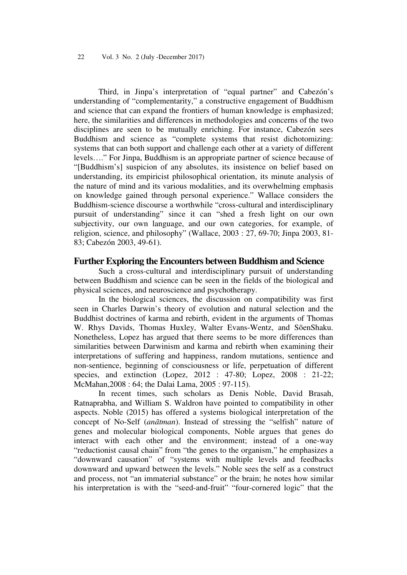Third, in Jinpa's interpretation of "equal partner" and Cabezón's understanding of "complementarity," a constructive engagement of Buddhism and science that can expand the frontiers of human knowledge is emphasized; here, the similarities and differences in methodologies and concerns of the two disciplines are seen to be mutually enriching. For instance, Cabezón sees Buddhism and science as "complete systems that resist dichotomizing: systems that can both support and challenge each other at a variety of different levels…." For Jinpa, Buddhism is an appropriate partner of science because of "[Buddhism's] suspicion of any absolutes, its insistence on belief based on understanding, its empiricist philosophical orientation, its minute analysis of the nature of mind and its various modalities, and its overwhelming emphasis on knowledge gained through personal experience." Wallace considers the Buddhism-science discourse a worthwhile "cross-cultural and interdisciplinary pursuit of understanding" since it can "shed a fresh light on our own subjectivity, our own language, and our own categories, for example, of religion, science, and philosophy" (Wallace, 2003 : 27, 69-70; Jinpa 2003, 81- 83; Cabezón 2003, 49-61).

### **Further Exploring the Encounters between Buddhism and Science**

Such a cross-cultural and interdisciplinary pursuit of understanding between Buddhism and science can be seen in the fields of the biological and physical sciences, and neuroscience and psychotherapy.

In the biological sciences, the discussion on compatibility was first seen in Charles Darwin's theory of evolution and natural selection and the Buddhist doctrines of karma and rebirth, evident in the arguments of Thomas W. Rhys Davids, Thomas Huxley, Walter Evans-Wentz, and SõenShaku. Nonetheless, Lopez has argued that there seems to be more differences than similarities between Darwinism and karma and rebirth when examining their interpretations of suffering and happiness, random mutations, sentience and non-sentience, beginning of consciousness or life, perpetuation of different species, and extinction (Lopez, 2012 : 47-80; Lopez, 2008 : 21-22; McMahan,2008 : 64; the Dalai Lama, 2005 : 97-115).

In recent times, such scholars as Denis Noble, David Brasah, Ratnaprabha, and William S. Waldron have pointed to compatibility in other aspects. Noble (2015) has offered a systems biological interpretation of the concept of No-Self (*anãtman*). Instead of stressing the "selfish" nature of genes and molecular biological components, Noble argues that genes do interact with each other and the environment; instead of a one-way "reductionist causal chain" from "the genes to the organism," he emphasizes a "downward causation" of "systems with multiple levels and feedbacks downward and upward between the levels." Noble sees the self as a construct and process, not "an immaterial substance" or the brain; he notes how similar his interpretation is with the "seed-and-fruit" "four-cornered logic" that the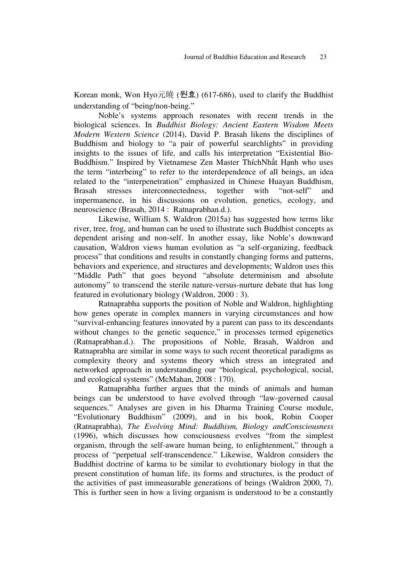Korean monk, Won Hyo元曉 (원효) (617-686), used to clarify the Buddhist understanding of "being/non-being."

Noble's systems approach resonates with recent trends in the biological sciences. In *Buddhist Biology: Ancient Eastern Wisdom Meets Modern Western Science* (2014), David P. Brasah likens the disciplines of Buddhism and biology to "a pair of powerful searchlights" in providing insights to the issues of life, and calls his interpretation "Existential Bio-Buddhism." Inspired by Vietnamese Zen Master ThíchNhất Hạnh who uses the term "interbeing" to refer to the interdependence of all beings, an idea related to the "interpenetration" emphasized in Chinese Huayan Buddhism, Brasah stresses interconnectedness, together with "not-self" and impermanence, in his discussions on evolution, genetics, ecology, and neuroscience (Brasah, 2014 : Ratnaprabhan.d.).

Likewise, William S. Waldron (2015a) has suggested how terms like river, tree, frog, and human can be used to illustrate such Buddhist concepts as dependent arising and non-self. In another essay, like Noble's downward causation, Waldron views human evolution as "a self-organizing, feedback process" that conditions and results in constantly changing forms and patterns, behaviors and experience, and structures and developments; Waldron uses this "Middle Path" that goes beyond "absolute determinism and absolute autonomy" to transcend the sterile nature-versus-nurture debate that has long featured in evolutionary biology (Waldron, 2000 : 3).

Ratnaprabha supports the position of Noble and Waldron, highlighting how genes operate in complex manners in varying circumstances and how "survival-enhancing features innovated by a parent can pass to its descendants without changes to the genetic sequence," in processes termed epigenetics (Ratnaprabhan.d.). The propositions of Noble, Brasah, Waldron and Ratnaprabha are similar in some ways to such recent theoretical paradigms as complexity theory and systems theory which stress an integrated and networked approach in understanding our "biological, psychological, social, and ecological systems" (McMahan, 2008 : 170).

Ratnaprabha further argues that the minds of animals and human beings can be understood to have evolved through "law-governed causal sequences." Analyses are given in his Dharma Training Course module, "Evolutionary Buddhism" (2009), and in his book, Robin Cooper (Ratnaprabha), *The Evolving Mind: Buddhism, Biology andConsciousness*  (1996), which discusses how consciousness evolves "from the simplest organism, through the self-aware human being, to enlightenment," through a process of "perpetual self-transcendence." Likewise, Waldron considers the Buddhist doctrine of karma to be similar to evolutionary biology in that the present constitution of human life, its forms and structures, is the product of the activities of past immeasurable generations of beings (Waldron 2000, 7). This is further seen in how a living organism is understood to be a constantly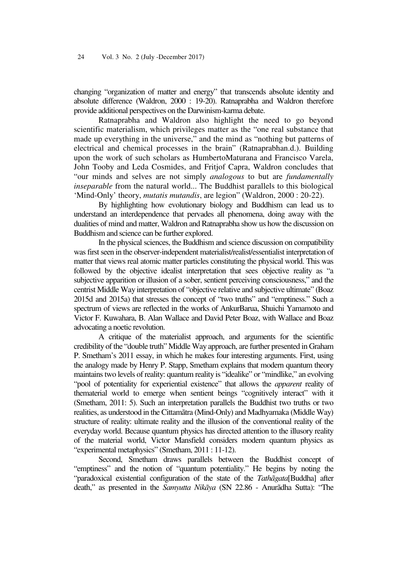changing "organization of matter and energy" that transcends absolute identity and absolute difference (Waldron, 2000 : 19-20). Ratnaprabha and Waldron therefore provide additional perspectives on the Darwinism-karma debate.

Ratnaprabha and Waldron also highlight the need to go beyond scientific materialism, which privileges matter as the "one real substance that made up everything in the universe," and the mind as "nothing but patterns of electrical and chemical processes in the brain" (Ratnaprabhan.d.). Building upon the work of such scholars as HumbertoMaturana and Francisco Varela, John Tooby and Leda Cosmides, and Fritjof Capra, Waldron concludes that "our minds and selves are not simply *analogous* to but are *fundamentally inseparable* from the natural world... The Buddhist parallels to this biological 'Mind-Only' theory, *mutatis mutandis*, are legion" (Waldron, 2000 : 20-22).

By highlighting how evolutionary biology and Buddhism can lead us to understand an interdependence that pervades all phenomena, doing away with the dualities of mind and matter, Waldron and Ratnaprabha show us how the discussion on Buddhism and science can be further explored.

In the physical sciences, the Buddhism and science discussion on compatibility was first seen in the observer-independent materialist/realist/essentialist interpretation of matter that views real atomic matter particles constituting the physical world. This was followed by the objective idealist interpretation that sees objective reality as "a subjective apparition or illusion of a sober, sentient perceiving consciousness," and the centrist Middle Way interpretation of "objective relative and subjective ultimate" (Boaz 2015d and 2015a) that stresses the concept of "two truths" and "emptiness." Such a spectrum of views are reflected in the works of AnkurBarua, Shuichi Yamamoto and Victor F. Kuwahara, B. Alan Wallace and David Peter Boaz, with Wallace and Boaz advocating a noetic revolution.

A critique of the materialist approach, and arguments for the scientific credibility of the "double truth" Middle Way approach, are further presented in Graham P. Smetham's 2011 essay, in which he makes four interesting arguments. First, using the analogy made by Henry P. Stapp, Smetham explains that modern quantum theory maintains two levels of reality: quantum reality is "idealike" or "mindlike," an evolving "pool of potentiality for experiential existence" that allows the *apparent* reality of thematerial world to emerge when sentient beings "cognitively interact" with it (Smetham, 2011: 5). Such an interpretation parallels the Buddhist two truths or two realities, as understood in the Cittamãtra (Mind-Only) and Madhyamaka (Middle Way) structure of reality: ultimate reality and the illusion of the conventional reality of the everyday world. Because quantum physics has directed attention to the illusory reality of the material world, Victor Mansfield considers modern quantum physics as "experimental metaphysics" (Smetham, 2011 : 11-12).

Second, Smetham draws parallels between the Buddhist concept of "emptiness" and the notion of "quantum potentiality." He begins by noting the "paradoxical existential configuration of the state of the *Tathãgata*[Buddha] after death," as presented in the *Samyutta Nikãya* (SN 22.86 - Anurãdha Sutta): "The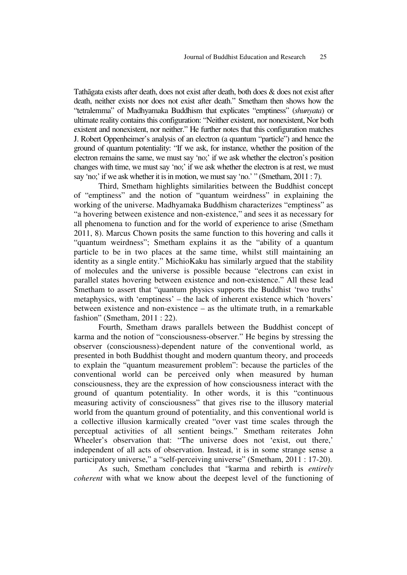Tathãgata exists after death, does not exist after death, both does & does not exist after death, neither exists nor does not exist after death." Smetham then shows how the "tetralemma" of Madhyamaka Buddhism that explicates "emptiness" (*shunyata*) or ultimate reality contains this configuration: "Neither existent, nor nonexistent, Nor both existent and nonexistent, nor neither." He further notes that this configuration matches J. Robert Oppenheimer's analysis of an electron (a quantum "particle") and hence the ground of quantum potentiality: "If we ask, for instance, whether the position of the electron remains the same, we must say 'no;' if we ask whether the electron's position changes with time, we must say 'no;' if we ask whether the electron is at rest, we must say 'no;' if we ask whether it is in motion, we must say 'no.' " (Smetham, 2011 : 7).

Third, Smetham highlights similarities between the Buddhist concept of "emptiness" and the notion of "quantum weirdness" in explaining the working of the universe. Madhyamaka Buddhism characterizes "emptiness" as "a hovering between existence and non-existence," and sees it as necessary for all phenomena to function and for the world of experience to arise (Smetham 2011, 8). Marcus Chown posits the same function to this hovering and calls it "quantum weirdness"; Smetham explains it as the "ability of a quantum particle to be in two places at the same time, whilst still maintaining an identity as a single entity." MichioKaku has similarly argued that the stability of molecules and the universe is possible because "electrons can exist in parallel states hovering between existence and non-existence." All these lead Smetham to assert that "quantum physics supports the Buddhist 'two truths' metaphysics, with 'emptiness' – the lack of inherent existence which 'hovers' between existence and non-existence – as the ultimate truth, in a remarkable fashion" (Smetham, 2011 : 22).

Fourth, Smetham draws parallels between the Buddhist concept of karma and the notion of "consciousness-observer." He begins by stressing the observer (consciousness)-dependent nature of the conventional world, as presented in both Buddhist thought and modern quantum theory, and proceeds to explain the "quantum measurement problem": because the particles of the conventional world can be perceived only when measured by human consciousness, they are the expression of how consciousness interact with the ground of quantum potentiality. In other words, it is this "continuous measuring activity of consciousness" that gives rise to the illusory material world from the quantum ground of potentiality, and this conventional world is a collective illusion karmically created "over vast time scales through the perceptual activities of all sentient beings." Smetham reiterates John Wheeler's observation that: "The universe does not 'exist, out there,' independent of all acts of observation. Instead, it is in some strange sense a participatory universe," a "self-perceiving universe" (Smetham, 2011 : 17-20).

As such, Smetham concludes that "karma and rebirth is *entirely coherent* with what we know about the deepest level of the functioning of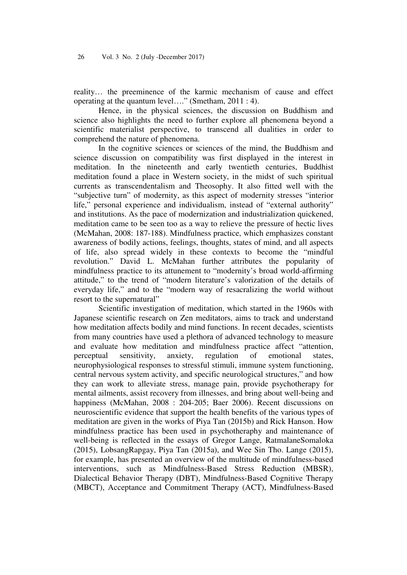26 Vol. 3 No. 2 (July -December 2017)

reality… the preeminence of the karmic mechanism of cause and effect operating at the quantum level…." (Smetham, 2011 : 4).

Hence, in the physical sciences, the discussion on Buddhism and science also highlights the need to further explore all phenomena beyond a scientific materialist perspective, to transcend all dualities in order to comprehend the nature of phenomena.

In the cognitive sciences or sciences of the mind, the Buddhism and science discussion on compatibility was first displayed in the interest in meditation. In the nineteenth and early twentieth centuries, Buddhist meditation found a place in Western society, in the midst of such spiritual currents as transcendentalism and Theosophy. It also fitted well with the "subjective turn" of modernity, as this aspect of modernity stresses "interior life," personal experience and individualism, instead of "external authority" and institutions. As the pace of modernization and industrialization quickened, meditation came to be seen too as a way to relieve the pressure of hectic lives (McMahan, 2008: 187-188). Mindfulness practice, which emphasizes constant awareness of bodily actions, feelings, thoughts, states of mind, and all aspects of life, also spread widely in these contexts to become the "mindful revolution." David L. McMahan further attributes the popularity of mindfulness practice to its attunement to "modernity's broad world-affirming attitude," to the trend of "modern literature's valorization of the details of everyday life," and to the "modern way of resacralizing the world without resort to the supernatural"

Scientific investigation of meditation, which started in the 1960s with Japanese scientific research on Zen meditators, aims to track and understand how meditation affects bodily and mind functions. In recent decades, scientists from many countries have used a plethora of advanced technology to measure and evaluate how meditation and mindfulness practice affect "attention, perceptual sensitivity, anxiety, regulation of emotional states, neurophysiological responses to stressful stimuli, immune system functioning, central nervous system activity, and specific neurological structures," and how they can work to alleviate stress, manage pain, provide psychotherapy for mental ailments, assist recovery from illnesses, and bring about well-being and happiness (McMahan, 2008 : 204-205; Baer 2006). Recent discussions on neuroscientific evidence that support the health benefits of the various types of meditation are given in the works of Piya Tan (2015b) and Rick Hanson. How mindfulness practice has been used in psychotheraphy and maintenance of well-being is reflected in the essays of Gregor Lange, RatmalaneSomaloka (2015), LobsangRapgay, Piya Tan (2015a), and Wee Sin Tho. Lange (2015), for example, has presented an overview of the multitude of mindfulness-based interventions, such as Mindfulness-Based Stress Reduction (MBSR), Dialectical Behavior Therapy (DBT), Mindfulness-Based Cognitive Therapy (MBCT), Acceptance and Commitment Therapy (ACT), Mindfulness-Based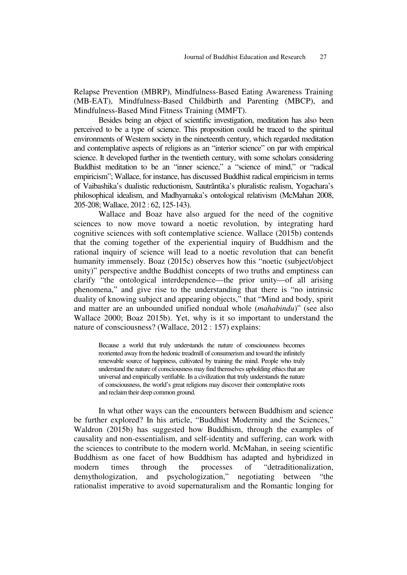Relapse Prevention (MBRP), Mindfulness-Based Eating Awareness Training (MB-EAT), Mindfulness-Based Childbirth and Parenting (MBCP), and Mindfulness-Based Mind Fitness Training (MMFT).

Besides being an object of scientific investigation, meditation has also been perceived to be a type of science. This proposition could be traced to the spiritual environments of Western society in the nineteenth century, which regarded meditation and contemplative aspects of religions as an "interior science" on par with empirical science. It developed further in the twentieth century, with some scholars considering Buddhist meditation to be an "inner science," a "science of mind," or "radical empiricism"; Wallace, for instance, has discussed Buddhist radical empiricism in terms of Vaibashika's dualistic reductionism, Sautrãntika's pluralistic realism, Yogachara's philosophical idealism, and Madhyamaka's ontological relativism (McMahan 2008, 205-208; Wallace, 2012 : 62, 125-143).

Wallace and Boaz have also argued for the need of the cognitive sciences to now move toward a noetic revolution, by integrating hard cognitive sciences with soft contemplative science. Wallace (2015b) contends that the coming together of the experiential inquiry of Buddhism and the rational inquiry of science will lead to a noetic revolution that can benefit humanity immensely. Boaz (2015c) observes how this "noetic (subject/object unity)" perspective andthe Buddhist concepts of two truths and emptiness can clarify "the ontological interdependence—the prior unity—of all arising phenomena," and give rise to the understanding that there is "no intrinsic duality of knowing subject and appearing objects," that "Mind and body, spirit and matter are an unbounded unified nondual whole (*mahabindu*)" (see also Wallace 2000; Boaz 2015b). Yet, why is it so important to understand the nature of consciousness? (Wallace, 2012 : 157) explains:

Because a world that truly understands the nature of consciousness becomes reoriented away from the hedonic treadmill of consumerism and toward the infinitely renewable source of happiness, cultivated by training the mind. People who truly understand the nature of consciousness may find themselves upholding ethics that are universal and empirically verifiable. In a civilization that truly understands the nature of consciousness, the world's great religions may discover their contemplative roots and reclaim their deep common ground.

In what other ways can the encounters between Buddhism and science be further explored? In his article, "Buddhist Modernity and the Sciences," Waldron (2015b) has suggested how Buddhism, through the examples of causality and non-essentialism, and self-identity and suffering, can work with the sciences to contribute to the modern world. McMahan, in seeing scientific Buddhism as one facet of how Buddhism has adapted and hybridized in modern times through the processes of "detraditionalization, demythologization, and psychologization," negotiating between "the rationalist imperative to avoid supernaturalism and the Romantic longing for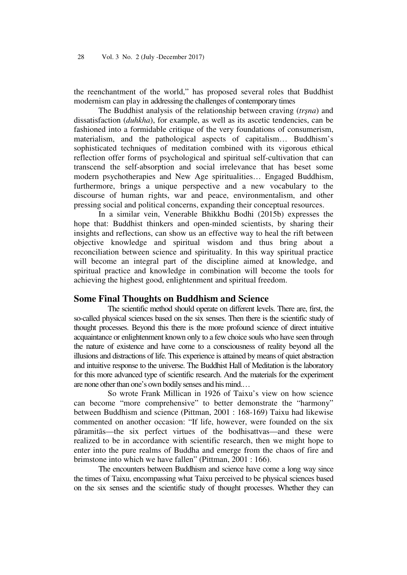the reenchantment of the world," has proposed several roles that Buddhist modernism can play in addressing the challenges of contemporary times

The Buddhist analysis of the relationship between craving (*trşna*) and dissatisfaction (*duhkha*), for example, as well as its ascetic tendencies, can be fashioned into a formidable critique of the very foundations of consumerism, materialism, and the pathological aspects of capitalism… Buddhism's sophisticated techniques of meditation combined with its vigorous ethical reflection offer forms of psychological and spiritual self-cultivation that can transcend the self-absorption and social irrelevance that has beset some modern psychotherapies and New Age spiritualities… Engaged Buddhism, furthermore, brings a unique perspective and a new vocabulary to the discourse of human rights, war and peace, environmentalism, and other pressing social and political concerns, expanding their conceptual resources.

In a similar vein, Venerable Bhikkhu Bodhi (2015b) expresses the hope that: Buddhist thinkers and open-minded scientists, by sharing their insights and reflections, can show us an effective way to heal the rift between objective knowledge and spiritual wisdom and thus bring about a reconciliation between science and spirituality. In this way spiritual practice will become an integral part of the discipline aimed at knowledge, and spiritual practice and knowledge in combination will become the tools for achieving the highest good, enlightenment and spiritual freedom.

### **Some Final Thoughts on Buddhism and Science**

The scientific method should operate on different levels. There are, first, the so-called physical sciences based on the six senses. Then there is the scientific study of thought processes. Beyond this there is the more profound science of direct intuitive acquaintance or enlightenment known only to a few choice souls who have seen through the nature of existence and have come to a consciousness of reality beyond all the illusions and distractions of life. This experience is attained by means of quiet abstraction and intuitive response to the universe. The Buddhist Hall of Meditation is the laboratory for this more advanced type of scientific research. And the materials for the experiment are none other than one's own bodily senses and his mind.…

So wrote Frank Millican in 1926 of Taixu's view on how science can become "more comprehensive" to better demonstrate the "harmony" between Buddhism and science (Pittman, 2001 : 168-169) Taixu had likewise commented on another occasion: "If life, however, were founded on the six pãramitãs—the six perfect virtues of the bodhisattvas—and these were realized to be in accordance with scientific research, then we might hope to enter into the pure realms of Buddha and emerge from the chaos of fire and brimstone into which we have fallen" (Pittman, 2001 : 166).

The encounters between Buddhism and science have come a long way since the times of Taixu, encompassing what Taixu perceived to be physical sciences based on the six senses and the scientific study of thought processes. Whether they can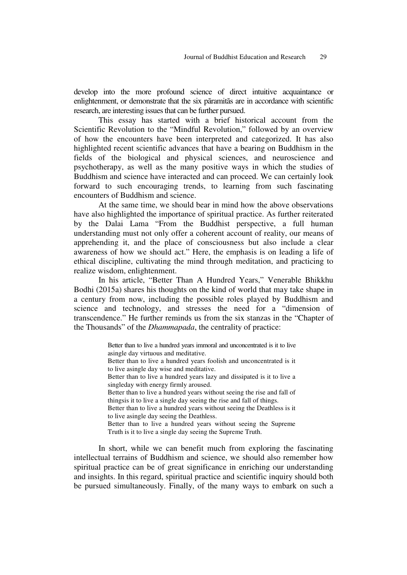develop into the more profound science of direct intuitive acquaintance or enlightenment, or demonstrate that the six pãramitãs are in accordance with scientific research, are interesting issues that can be further pursued.

This essay has started with a brief historical account from the Scientific Revolution to the "Mindful Revolution," followed by an overview of how the encounters have been interpreted and categorized. It has also highlighted recent scientific advances that have a bearing on Buddhism in the fields of the biological and physical sciences, and neuroscience and psychotherapy, as well as the many positive ways in which the studies of Buddhism and science have interacted and can proceed. We can certainly look forward to such encouraging trends, to learning from such fascinating encounters of Buddhism and science.

At the same time, we should bear in mind how the above observations have also highlighted the importance of spiritual practice. As further reiterated by the Dalai Lama "From the Buddhist perspective, a full human understanding must not only offer a coherent account of reality, our means of apprehending it, and the place of consciousness but also include a clear awareness of how we should act." Here, the emphasis is on leading a life of ethical discipline, cultivating the mind through meditation, and practicing to realize wisdom, enlightenment.

In his article, "Better Than A Hundred Years," Venerable Bhikkhu Bodhi (2015a) shares his thoughts on the kind of world that may take shape in a century from now, including the possible roles played by Buddhism and science and technology, and stresses the need for a "dimension of transcendence." He further reminds us from the six stanzas in the "Chapter of the Thousands" of the *Dhammapada*, the centrality of practice:

> Better than to live a hundred years immoral and unconcentrated is it to live asingle day virtuous and meditative. Better than to live a hundred years foolish and unconcentrated is it to live asingle day wise and meditative. Better than to live a hundred years lazy and dissipated is it to live a singleday with energy firmly aroused. Better than to live a hundred years without seeing the rise and fall of thingsis it to live a single day seeing the rise and fall of things. Better than to live a hundred years without seeing the Deathless is it to live asingle day seeing the Deathless. Better than to live a hundred years without seeing the Supreme Truth is it to live a single day seeing the Supreme Truth.

In short, while we can benefit much from exploring the fascinating intellectual terrains of Buddhism and science, we should also remember how spiritual practice can be of great significance in enriching our understanding and insights. In this regard, spiritual practice and scientific inquiry should both be pursued simultaneously. Finally, of the many ways to embark on such a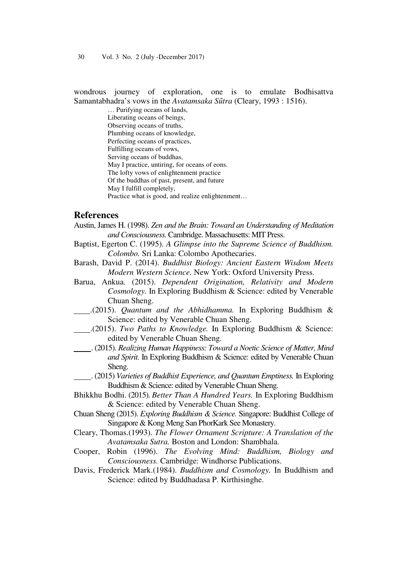30 Vol. 3 No. 2 (July -December 2017)

wondrous journey of exploration, one is to emulate Bodhisattva Samantabhadra's vows in the *Avatamsaka Sũtra* (Cleary, 1993 : 1516).

> … Purifying oceans of lands, Liberating oceans of beings, Observing oceans of truths, Plumbing oceans of knowledge, Perfecting oceans of practices, Fulfilling oceans of vows, Serving oceans of buddhas, May I practice, untiring, for oceans of eons. The lofty vows of enlightenment practice Of the buddhas of past, present, and future May I fulfill completely, Practice what is good, and realize enlightenment…

### **References**

- Austin, James H. (1998). *Zen and the Brain: Toward an Understanding of Meditation and Consciousness.* Cambridge. Massachusetts: MIT Press.
- Baptist, Egerton C. (1995). *A Glimpse into the Supreme Science of Buddhism. Colombo.* Sri Lanka: Colombo Apothecaries.
- Barash, David P. (2014). *Buddhist Biology: Ancient Eastern Wisdom Meets Modern Western Science.* New York: Oxford University Press.
- Barua, Ankua. (2015). *Dependent Origination, Relativity and Modern Cosmology.* In Exploring Buddhism & Science: edited by Venerable Chuan Sheng.
- .(2015). *Quantum and the Abhidhamma.* In Exploring Buddhism & Science: edited by Venerable Chuan Sheng.
- .(2015). *Two Paths to Knowledge.* In Exploring Buddhism & Science: edited by Venerable Chuan Sheng.
- . (2015). *Realizing Human Happiness: Toward a Noetic Science of Matter, Mind and Spirit.* In Exploring Buddhism & Science: edited by Venerable Chuan Sheng.
- . (2015) *Varieties of Buddhist Experience, and Quantum Emptiness.* In Exploring Buddhism & Science: edited by Venerable Chuan Sheng.
- Bhikkhu Bodhi. (2015). *Better Than A Hundred Years.* In Exploring Buddhism & Science: edited by Venerable Chuan Sheng.
- Chuan Sheng (2015). *Exploring Buddhism & Science.* Singapore: Buddhist College of Singapore & Kong Meng San PhorKark See Monastery.
- Cleary, Thomas.(1993). *The Flower Ornament Scripture: A Translation of the Avatamsaka Sutra.* Boston and London: Shambhala.
- Cooper, Robin (1996). *The Evolving Mind: Buddhism, Biology and Consciousness.* Cambridge: Windhorse Publications.
- Davis, Frederick Mark.(1984). *Buddhism and Cosmology.* In Buddhism and Science: edited by Buddhadasa P. Kirthisinghe.